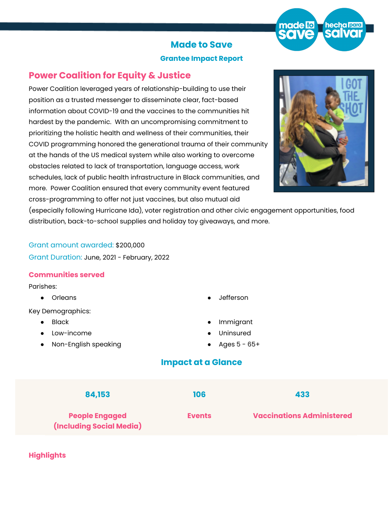

### **Made to Save**

#### **Grantee Impact Report**

# **Power Coalition for Equity & Justice**

Power Coalition leveraged years of relationship-building to use their position as a trusted messenger to disseminate clear, fact-based information about COVID-19 and the vaccines to the communities hit hardest by the pandemic. With an uncompromising commitment to prioritizing the holistic health and wellness of their communities, their COVID programming honored the generational trauma of their community at the hands of the US medical system while also working to overcome obstacles related to lack of transportation, language access, work schedules, lack of public health infrastructure in Black communities, and more. Power Coalition ensured that every community event featured cross-programming to offer not just vaccines, but also mutual aid



(especially following Hurricane Ida), voter registration and other civic engagement opportunities, food distribution, back-to-school supplies and holiday toy giveaways, and more.

## Grant amount awarded: \$200,000 Grant Duration: June, 2021 - February, 2022

### **Communities served**

#### Parishes:

- 
- Key Demographics:
	- **Black**
	- Low-income
	- Non-English speaking
- Orleans Jefferson
	- **Immigrant**
	- **Uninsured**
	- Ages  $5 65 +$

# **Impact at a Glance**



### **Highlights**